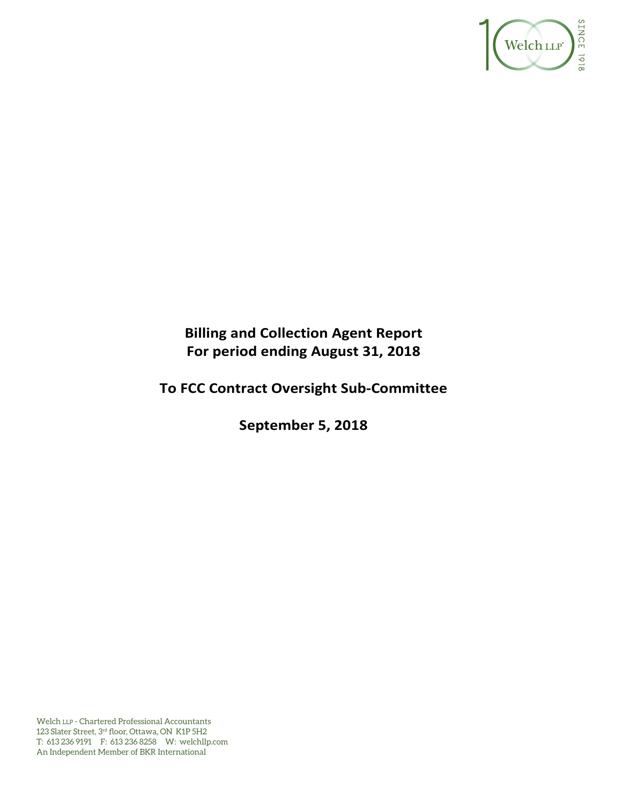

# **Billing and Collection Agent Report For period ending August 31, 2018**

# **To FCC Contract Oversight Sub‐Committee**

**September 5, 2018** 

Welch LLP - Chartered Professional Accountants 123 Slater Street, 3rd floor, Ottawa, ON K1P 5H2 T: 613 236 9191 F: 613 236 8258 W: welchllp.com An Independent Member of BKR International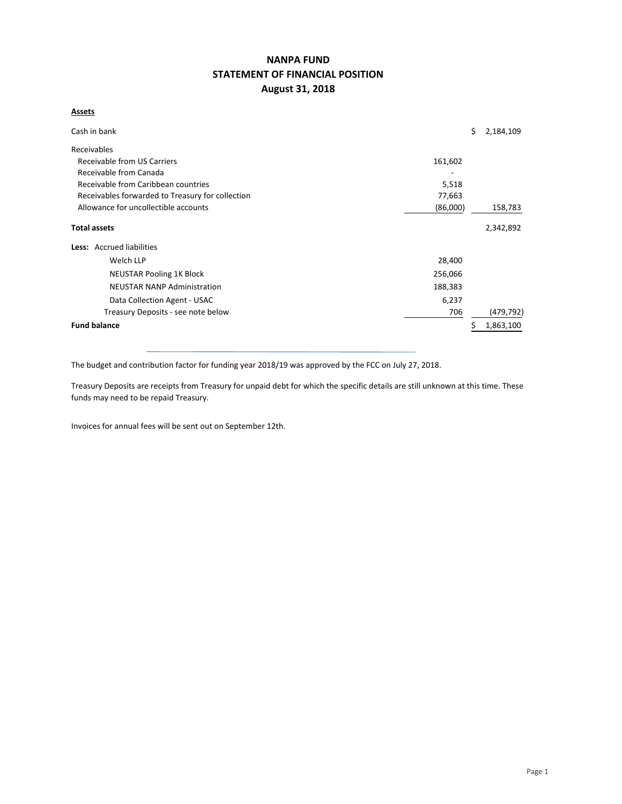# **NANPA FUND STATEMENT OF FINANCIAL POSITION August 31, 2018**

#### **Assets**

| Cash in bank                                     |          | \$. | 2,184,109  |  |  |  |  |  |
|--------------------------------------------------|----------|-----|------------|--|--|--|--|--|
| Receivables                                      |          |     |            |  |  |  |  |  |
| Receivable from US Carriers                      | 161,602  |     |            |  |  |  |  |  |
| Receivable from Canada                           |          |     |            |  |  |  |  |  |
| Receivable from Caribbean countries              | 5,518    |     |            |  |  |  |  |  |
| Receivables forwarded to Treasury for collection | 77,663   |     |            |  |  |  |  |  |
| Allowance for uncollectible accounts             | (86,000) |     | 158,783    |  |  |  |  |  |
| <b>Total assets</b>                              |          |     | 2,342,892  |  |  |  |  |  |
| Less: Accrued liabilities                        |          |     |            |  |  |  |  |  |
| Welch LLP                                        | 28,400   |     |            |  |  |  |  |  |
| <b>NEUSTAR Pooling 1K Block</b>                  | 256,066  |     |            |  |  |  |  |  |
| <b>NEUSTAR NANP Administration</b>               | 188,383  |     |            |  |  |  |  |  |
| Data Collection Agent - USAC                     | 6,237    |     |            |  |  |  |  |  |
| Treasury Deposits - see note below               | 706      |     | (479, 792) |  |  |  |  |  |
| <b>Fund balance</b>                              |          |     | 1,863,100  |  |  |  |  |  |

The budget and contribution factor for funding year 2018/19 was approved by the FCC on July 27, 2018.

Treasury Deposits are receipts from Treasury for unpaid debt for which the specific details are still unknown at this time. These funds may need to be repaid Treasury.

Invoices for annual fees will be sent out on September 12th.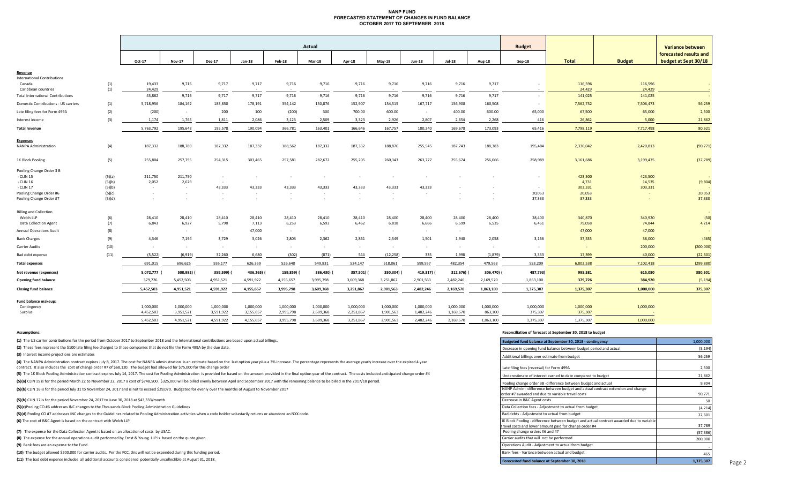#### **NANP FUND FORECASTED STATEMENT OF CHANGES IN FUND BALANCE OCTOBER 2017 TO SEPTEMBER 2018**

|                                          |        |           | Actual         |               |            |            |           |               |            |                  |               | <b>Budget</b> |                          |              | <b>Variance between</b> |                                                |
|------------------------------------------|--------|-----------|----------------|---------------|------------|------------|-----------|---------------|------------|------------------|---------------|---------------|--------------------------|--------------|-------------------------|------------------------------------------------|
|                                          |        | Oct-17    | <b>Nov-17</b>  | <b>Dec-17</b> | Jan-18     | Feb-18     | Mar-18    | Apr-18        | $May-18$   | <b>Jun-18</b>    | <b>Jul-18</b> | Aug-18        | $Sep-18$                 | <b>Total</b> | <b>Budget</b>           | forecasted results and<br>budget at Sept 30/18 |
| Revenue                                  |        |           |                |               |            |            |           |               |            |                  |               |               |                          |              |                         |                                                |
| <b>International Contributions</b>       |        |           |                |               |            |            |           |               |            |                  |               |               |                          |              |                         |                                                |
| Canada                                   | (1)    | 19,433    | 9,716          | 9,717         | 9,717      | 9,716      | 9,716     | 9,716         | 9,716      | 9,716            | 9,716         | 9,717         |                          | 116,596      | 116,596                 | $\sim$                                         |
| Caribbean countries                      | (1)    | 24,429    | $\sim 10^{-1}$ | $\sim$        | $\sim$     | $\sim$     | $\sim$    | $\sim$ $\sim$ | $\sim 100$ | $\sim$           | $\sim 100$    | $\sim$        | $\sim$                   | 24,429       | 24,429                  |                                                |
| <b>Total International Contributions</b> |        | 43,862    | 9,716          | 9,717         | 9,717      | 9,716      | 9,716     | 9,716         | 9,716      | 9,716            | 9,716         | 9,717         | $\sim$                   | 141,025      | 141,025                 | $\sim$                                         |
| Domestic Contributions - US carriers     | (1)    | 5,718,956 | 184,162        | 183,850       | 178,191    | 354,142    | 150,876   | 152,907       | 154,515    | 167,717          | 156,908       | 160,508       | $\overline{\phantom{a}}$ | 7,562,732    | 7,506,473               | 56,259                                         |
| Late filing fees for Form 499A           | (2)    | (200)     | $\sim 100$     | 200           | 100        | (200)      | 300       | 700.00        | 600.00     | $\sim$ 100 $\mu$ | 400.00        | 600.00        | 65,000                   | 67,500       | 65,000                  | 2,500                                          |
| Interest income                          | (3)    | 1,174     | 1,765          | 1,811         | 2,086      | 3,123      | 2,509     | 3,323         | 2,926      | 2,807            | 2,654         | 2,268         | 416                      | 26,862       | 5,000                   | 21,862                                         |
| <b>Total revenue</b>                     |        | 5,763,792 | 195,643        | 195,578       | 190,094    | 366,781    | 163,401   | 166,646       | 167,757    | 180,240          | 169,678       | 173,093       | 65,416                   | 7,798,119    | 7,717,498               | 80,621                                         |
| <b>Expenses</b>                          |        |           |                |               |            |            |           |               |            |                  |               |               |                          |              |                         |                                                |
| <b>NANPA Administration</b>              | (4)    | 187,332   | 188,789        | 187,332       | 187,332    | 188,562    | 187,332   | 187,332       | 188,876    | 255,545          | 187,743       | 188,383       | 195,484                  | 2,330,042    | 2,420,813               | (90, 771)                                      |
| 1K Block Pooling                         | (5)    | 255,804   | 257,795        | 254,315       | 303,465    | 257,581    | 282,672   | 255,205       | 260,343    | 263,777          | 255,674       | 256,066       | 258,989                  | 3,161,686    | 3,199,475               | (37, 789)                                      |
| Pooling Change Order 3 B                 |        |           |                |               |            |            |           |               |            |                  |               |               |                          |              |                         |                                                |
| - CLIN 15                                | (5)(a) | 211,750   | 211,750        | $\sim$        | $\sim$     |            |           | $\sim$        | $\sim$     |                  |               |               |                          | 423,500      | 423,500                 |                                                |
| - CLIN 16                                | (5)(b) | 2,052     | 2,679          | $\sim$        |            |            |           |               |            |                  |               |               |                          | 4,731        | 14,535                  | (9,804)                                        |
| - CLIN 17                                | (5)(b) | $\sim$    | $\sim$         | 43,333        | 43,333     | 43,333     | 43,333    | 43,333        | 43,333     | 43,333           |               |               |                          | 303,331      | 303,331                 |                                                |
| Pooling Change Order #6                  | (5)(c) | $\sim$    | $\sim$         | $\sim$        | $\sim$     | $\sim$     | $\sim$    | $\sim$        | $\sim$     | $\sim$           |               |               | 20,053                   | 20,053       |                         | 20,053                                         |
| Pooling Change Order #7                  | (5)(d) | $\sim$    |                | $\sim$        |            |            |           | $\sim$        | $\sim$     |                  |               |               | 37,333                   | 37,333       |                         | 37,333                                         |
| <b>Billing and Collection</b>            |        |           |                |               |            |            |           |               |            |                  |               |               |                          |              |                         |                                                |
| Welch LLP                                | (6)    | 28,410    | 28,410         | 28,410        | 28,410     | 28,410     | 28,410    | 28,410        | 28,400     | 28,400           | 28,400        | 28,400        | 28,400                   | 340,870      | 340,920                 | (50)                                           |
| Data Collection Agent                    | (7)    | 6,843     | 6,927          | 5,798         | 7,113      | 6,253      | 6,593     | 6,462         | 6,818      | 6,666            | 6,599         | 6,535         | 6,451                    | 79,058       | 74,844                  | 4,214                                          |
| <b>Annual Operations Audit</b>           | (8)    | $\sim$    | $\sim$         | $\sim$        | 47,000     | $\sim$     | $\sim$    | $\sim$        | $\sim$     | $\sim$           | $\sim$        |               |                          | 47,000       | 47,000                  |                                                |
| <b>Bank Charges</b>                      | (9)    | 4,346     | 7,194          | 3,729         | 3,026      | 2,803      | 2,362     | 2,861         | 2,549      | 1,501            | 1,940         | 2,058         | 3,166                    | 37,535       | 38,000                  | (465)                                          |
| <b>Carrier Audits</b>                    | (10)   | $\sim$    | $\sim$         | $\sim$        | $\sim$     | $\sim$ $-$ | $\sim$    | $\sim$        | $\sim$     | $\sim$           | $\sim$        | $\sim$        |                          |              | 200,000                 | (200,000)                                      |
| Bad debt expense                         | (11)   | (5, 522)  | (6, 919)       | 32,260        | 6,680      | (302)      | (871)     | 544           | (12, 258)  | 335              | 1,998         | (1,879)       | 3,333                    | 17,399       | 40,000                  | (22, 601)                                      |
| <b>Total expenses</b>                    |        | 691,015   | 696,625        | 555,177       | 626,359    | 526,640    | 549,831   | 524,147       | 518,061    | 599,557          | 482,354       | 479,563       | 553,209                  | 6,802,538    | 7,102,418               | (299, 880)                                     |
| Net revenue (expenses)                   |        | 5,072,777 | 500,982)       | 359,599)      | 436,265) ( | 159,859)   | 386,430)  | 357,501) (    | 350,304)   | 419,317)         | 312,676)      | 306,470) (    | 487,793)                 | 995,581      | 615,080                 | 380,501                                        |
| <b>Opening fund balance</b>              |        | 379,726   | 5,452,503      | 4,951,521     | 4,591,922  | 4,155,657  | 3,995,798 | 3,609,368     | 3,251,867  | 2,901,563        | 2,482,246     | 2,169,570     | 1,863,100                | 379,726      | 384,920                 | (5, 194)                                       |
| <b>Closing fund balance</b>              |        | 5,452,503 | 4,951,521      | 4,591,922     | 4,155,657  | 3,995,798  | 3,609,368 | 3,251,867     | 2,901,563  | 2,482,246        | 2,169,570     | 1,863,100     | 1,375,307                | 1,375,307    | 1,000,000               | 375,307                                        |
| Fund balance makeup:                     |        |           |                |               |            |            |           |               |            |                  |               |               |                          |              |                         |                                                |
| Contingency                              |        | 1,000,000 | 1,000,000      | 1,000,000     | 1,000,000  | 1,000,000  | 1,000,000 | 1,000,000     | 1,000,000  | 1,000,000        | 1,000,000     | 1,000,000     | 1,000,000                | 1,000,000    | 1,000,000               |                                                |
| Surplus                                  |        | 4,452,503 | 3,951,521      | 3,591,922     | 3,155,657  | 2,995,798  | 2,609,368 | 2,251,867     | 1,901,563  | 1,482,246        | 1,169,570     | 863,100       | 375,307                  | 375,307      |                         |                                                |
|                                          |        | 5.452.503 | 4.951.521      | 4,591,922     | 4.155.657  | 3.995.798  | 3.609.368 | 3,251,867     | 2.901.563  | 2.482.246        | 2.169.570     | 1.863.100     | 1.375.307                | 1.375.307    | 1.000.000               |                                                |
|                                          |        |           |                |               |            |            |           |               |            |                  |               |               |                          |              |                         |                                                |

**(1)** The US carrier contributions for the period from October 2017 to September 2018 and the International contributions are based upon actual billings.

(2) These fees represent the \$100 late filing fee charged to those companies that do not file the Form 499A by the due date.

**(3)** Interest income projections are estimates

(4) The NANPA Administration contract expires July 8, 2017. The cost for NANPA administration is an estimate based on the last option year plus a 3% increase. The percentage represents the average yearly increase over the contract. It also includes the cost of change order #7 of \$68,120. The budget had allowed for \$75,000 for this change order

(5) The 1K Block Pooling Administration contract expires July 14, 2017. The cost for Pooling Administration is provided for based on the amount provided in the final option year of the contract. The costs included anticipa

(5)(a) CLIN 15 is for the period March 22 to November 22, 2017 a cost of \$748,500. \$325,000 will be billed evenly between April and September 2017 with the remaining balance to be billed in the 2017/18 period.

**(5)(b)** CLIN 16 is for the period July 31 to November 24, 2017 and is not to exceed \$29,070. Budgeted for evenly over the months of August to November 2017

**(5)(b)** CLIN 17 is for the period November 24, 2017 to June 30, 2018 at \$43,333/month <sup>50</sup>

**(5)(c)**Pooling CO #6 addresses INC changes to the Thousands‐Block Pooling Administration Guidelines (4,214)

(5)(d) Pooling CO #7 addresses INC changes to the Guidelines related to Pooling Administration activities when a code holder voluntarily returns or abandons an NXX code. **(6)** The cost of B&C Agent is based on the contract with Welch LLP

**(7)** The expense for the Data Collection Agent is based on an allocation of costs by USAC.

**(8)** The expense for the annual operations audit performed by Ernst & Young LLP is based on the quote given.

**(9)** Bank fees are an expense to the Fund.

**(10)** The budget allowed \$200,000 for carrier audits. Per the FCC, this will not be expended during this funding period.

**(11)**  The bad debt expense includes all additional accounts considered potentially uncollectible at August 31, 2018.

#### **Assumptions: Reconciliation of forecast at September 30, 2018 to budget**

| Budgeted fund balance at September 30, 2018 - contingency                                                                                          | 1,000,000 |
|----------------------------------------------------------------------------------------------------------------------------------------------------|-----------|
| Decrease in opening fund balance between budget period and actual                                                                                  | (5, 194)  |
| Additional billings over estimate from budget                                                                                                      | 56,259    |
| Late filing fees (reversal) for Form 499A                                                                                                          | 2,500     |
| Underestimate of interest earned to date compared to budget                                                                                        | 21,862    |
| Pooling change order 3B -difference between budget and actual                                                                                      | 9,804     |
| NANP Admin - difference between budget and actual contract extension and change<br>order #7 awarded and due to variable travel costs               | 90,771    |
| Decrease in B&C Agent costs                                                                                                                        | 50        |
| Data Collection fees - Adjustment to actual from budget                                                                                            | (4, 214)  |
| Bad debts - Adjustment to actual from budget                                                                                                       | 22,601    |
| IK Block Pooling - difference between budget and actual contract awarded due to variable<br>travel costs and lower amount paid for change order #4 | 37,789    |
| Pooling change orders #6 and #7                                                                                                                    | (57, 386) |
| Carrier audits that will not be performed                                                                                                          | 200,000   |
| Operations Audit - Adjustment to actual from budget                                                                                                |           |
| Bank fees - Variance between actual and budget                                                                                                     | 465       |
| Forecasted fund balance at September 30, 2018                                                                                                      | 1,375,307 |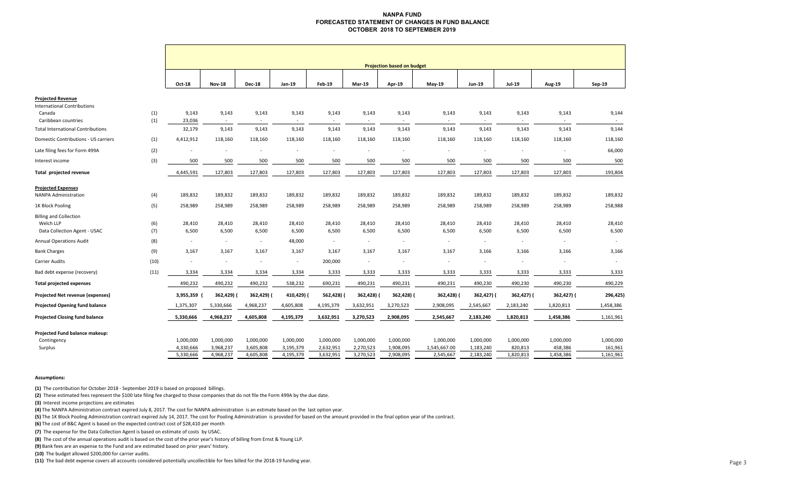#### **NANPA FUND FORECASTED STATEMENT OF CHANGES IN FUND BALANCE OCTOBER 2018 TO SEPTEMBER 2019**

|                                              |      |                          |                          |               |                |               |            | <b>Projection based on budget</b> |                          |                          |               |                             |           |
|----------------------------------------------|------|--------------------------|--------------------------|---------------|----------------|---------------|------------|-----------------------------------|--------------------------|--------------------------|---------------|-----------------------------|-----------|
|                                              |      | Oct-18                   | <b>Nov-18</b>            | <b>Dec-18</b> | Jan-19         | <b>Feb-19</b> | Mar-19     | Apr-19                            | May-19                   | Jun-19                   | <b>Jul-19</b> | <b>Aug-19</b>               | Sep-19    |
| <b>Projected Revenue</b>                     |      |                          |                          |               |                |               |            |                                   |                          |                          |               |                             |           |
| <b>International Contributions</b><br>Canada | (1)  | 9,143                    | 9,143                    | 9,143         | 9,143          | 9,143         | 9,143      | 9,143                             | 9,143                    | 9,143                    | 9,143         | 9,143                       | 9,144     |
| Caribbean countries                          | (1)  | 23,036                   | $\sim$                   | $\sim$        | $\sim$         |               |            |                                   |                          | $\sim$                   |               | $\sim$                      |           |
| <b>Total International Contributions</b>     |      | 32,179                   | 9,143                    | 9,143         | 9,143          | 9,143         | 9,143      | 9,143                             | 9,143                    | 9,143                    | 9,143         | 9,143                       | 9,144     |
| Domestic Contributions - US carriers         | (1)  | 4,412,912                | 118,160                  | 118,160       | 118,160        | 118,160       | 118,160    | 118,160                           | 118,160                  | 118,160                  | 118,160       | 118,160                     | 118,160   |
| Late filing fees for Form 499A               | (2)  |                          | $\overline{\phantom{a}}$ |               | $\overline{a}$ |               |            |                                   | $\overline{\phantom{a}}$ | $\overline{\phantom{a}}$ |               |                             | 66,000    |
| Interest income                              | (3)  | 500                      | 500                      | 500           | 500            | 500           | 500        | 500                               | 500                      | 500                      | 500           | 500                         | 500       |
| Total projected revenue                      |      | 4,445,591                | 127,803                  | 127,803       | 127,803        | 127,803       | 127,803    | 127,803                           | 127,803                  | 127,803                  | 127,803       | 127,803                     | 193,804   |
| <b>Projected Expenses</b>                    |      |                          |                          |               |                |               |            |                                   |                          |                          |               |                             |           |
| <b>NANPA Administration</b>                  | (4)  | 189,832                  | 189,832                  | 189,832       | 189,832        | 189,832       | 189,832    | 189,832                           | 189,832                  | 189,832                  | 189,832       | 189,832                     | 189,832   |
| 1K Block Pooling                             | (5)  | 258,989                  | 258,989                  | 258,989       | 258,989        | 258,989       | 258,989    | 258,989                           | 258,989                  | 258,989                  | 258,989       | 258,989                     | 258,988   |
| <b>Billing and Collection</b>                |      |                          |                          |               |                |               |            |                                   |                          |                          |               |                             |           |
| Welch LLP                                    | (6)  | 28,410                   | 28,410                   | 28,410        | 28,410         | 28,410        | 28,410     | 28,410                            | 28,410                   | 28,410                   | 28,410        | 28,410                      | 28,410    |
| Data Collection Agent - USAC                 | (7)  | 6,500                    | 6,500                    | 6,500         | 6,500          | 6,500         | 6,500      | 6,500                             | 6,500                    | 6,500                    | 6,500         | 6,500                       | 6,500     |
| <b>Annual Operations Audit</b>               | (8)  | $\overline{\phantom{a}}$ | $\sim$                   | $\sim$        | 48,000         | $\sim$        | $\sim$     | $\sim$                            | $\sim$                   | $\sim$                   |               | $\mathcal{L}_{\mathcal{A}}$ |           |
| <b>Bank Charges</b>                          | (9)  | 3,167                    | 3,167                    | 3,167         | 3,167          | 3,167         | 3,167      | 3,167                             | 3,167                    | 3,166                    | 3,166         | 3,166                       | 3,166     |
| Carrier Audits                               | (10) |                          | $\sim$                   | $\sim$        | $\sim$         | 200,000       | $\sim$     | $\overline{\phantom{a}}$          | $\overline{\phantom{a}}$ | $\overline{\phantom{a}}$ |               | $\overline{\phantom{a}}$    |           |
| Bad debt expense (recovery)                  | (11) | 3,334                    | 3,334                    | 3,334         | 3,334          | 3,333         | 3,333      | 3,333                             | 3,333                    | 3,333                    | 3,333         | 3,333                       | 3,333     |
| <b>Total projected expenses</b>              |      | 490,232                  | 490,232                  | 490,232       | 538,232        | 690,231       | 490,231    | 490,231                           | 490,231                  | 490,230                  | 490,230       | 490,230                     | 490,229   |
| Projected Net revenue (expenses)             |      | 3,955,359                | 362,429) (               | 362,429) (    | 410,429) (     | 562,428)      | 362,428) ( | 362,428)                          | 362,428) (               | 362,427) (               | 362,427) (    | 362,427) (                  | 296,425)  |
| <b>Projected Opening fund balance</b>        |      | 1,375,307                | 5,330,666                | 4,968,237     | 4,605,808      | 4,195,379     | 3,632,951  | 3,270,523                         | 2,908,095                | 2,545,667                | 2,183,240     | 1,820,813                   | 1,458,386 |
| <b>Projected Closing fund balance</b>        |      | 5,330,666                | 4,968,237                | 4,605,808     | 4,195,379      | 3,632,951     | 3,270,523  | 2,908,095                         | 2,545,667                | 2,183,240                | 1,820,813     | 1,458,386                   | 1,161,961 |
| Projected Fund balance makeup:               |      |                          |                          |               |                |               |            |                                   |                          |                          |               |                             |           |
| Contingency                                  |      | 1,000,000                | 1,000,000                | 1,000,000     | 1,000,000      | 1,000,000     | 1,000,000  | 1,000,000                         | 1,000,000                | 1,000,000                | 1,000,000     | 1,000,000                   | 1,000,000 |
| Surplus                                      |      | 4,330,666                | 3,968,237                | 3,605,808     | 3,195,379      | 2,632,951     | 2,270,523  | 1,908,095                         | 1,545,667.00             | 1,183,240                | 820,813       | 458,386                     | 161,961   |
|                                              |      | 5,330,666                | 4,968,237                | 4,605,808     | 4,195,379      | 3,632,951     | 3,270,523  | 2,908,095                         | 2,545,667                | 2,183,240                | 1,820,813     | 1,458,386                   | 1,161,961 |

#### **Assumptions:**

**(1)** The contribution for October 2018 ‐ September 2019 is based on proposed billings.

**(2)** These estimated fees represent the \$100 late filing fee charged to those companies that do not file the Form 499A by the due date.

**(3)** Interest income projections are estimates

**(4)** The NANPA Administration contract expired July 8, 2017. The cost for NANPA administration is an estimate based on the last option year.

**(5)** The 1K Block Pooling Administration contract expired July 14, 2017. The cost for Pooling Administration is provided for based on the amount provided in the final option year of the contract.

**(6)** The cost of B&C Agent is based on the expected contract cost of \$28,410 per month

**(7)**  The expense for the Data Collection Agent is based on estimate of costs by USAC.

**(8)**  The cost of the annual operations audit is based on the cost of the prior year's history of billing from Ernst & Young LLP.

**(9)** Bank fees are an expense to the Fund and are estimated based on prior years' history.

**(10)** The budget allowed \$200,000 for carrier audits.

**(11)**  The bad debt expense covers all accounts considered potentially uncollectible for fees billed for the 2018‐19 funding year.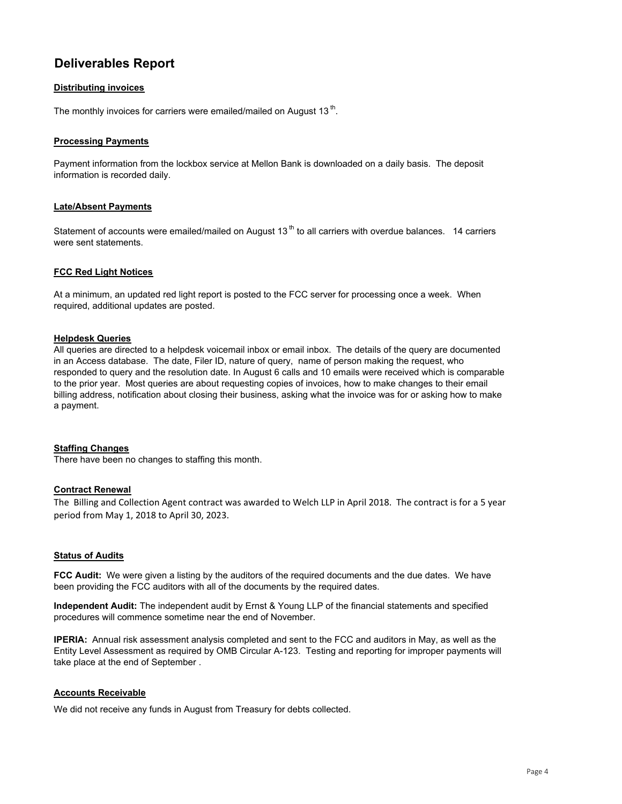# **Deliverables Report**

## **Distributing invoices**

The monthly invoices for carriers were emailed/mailed on August 13<sup>th</sup>.

#### **Processing Payments**

Payment information from the lockbox service at Mellon Bank is downloaded on a daily basis. The deposit information is recorded daily.

## **Late/Absent Payments**

Statement of accounts were emailed/mailed on August 13<sup>th</sup> to all carriers with overdue balances. 14 carriers were sent statements.

## **FCC Red Light Notices**

At a minimum, an updated red light report is posted to the FCC server for processing once a week. When required, additional updates are posted.

#### **Helpdesk Queries**

All queries are directed to a helpdesk voicemail inbox or email inbox. The details of the query are documented in an Access database. The date, Filer ID, nature of query, name of person making the request, who responded to query and the resolution date. In August 6 calls and 10 emails were received which is comparable to the prior year. Most queries are about requesting copies of invoices, how to make changes to their email billing address, notification about closing their business, asking what the invoice was for or asking how to make a payment.

## **Staffing Changes**

There have been no changes to staffing this month.

#### **Contract Renewal**

The Billing and Collection Agent contract was awarded to Welch LLP in April 2018. The contract is for a 5 year period from May 1, 2018 to April 30, 2023.

## **Status of Audits**

**FCC Audit:** We were given a listing by the auditors of the required documents and the due dates. We have been providing the FCC auditors with all of the documents by the required dates.

**Independent Audit:** The independent audit by Ernst & Young LLP of the financial statements and specified procedures will commence sometime near the end of November.

**IPERIA:** Annual risk assessment analysis completed and sent to the FCC and auditors in May, as well as the Entity Level Assessment as required by OMB Circular A-123. Testing and reporting for improper payments will take place at the end of September .

#### **Accounts Receivable**

We did not receive any funds in August from Treasury for debts collected.